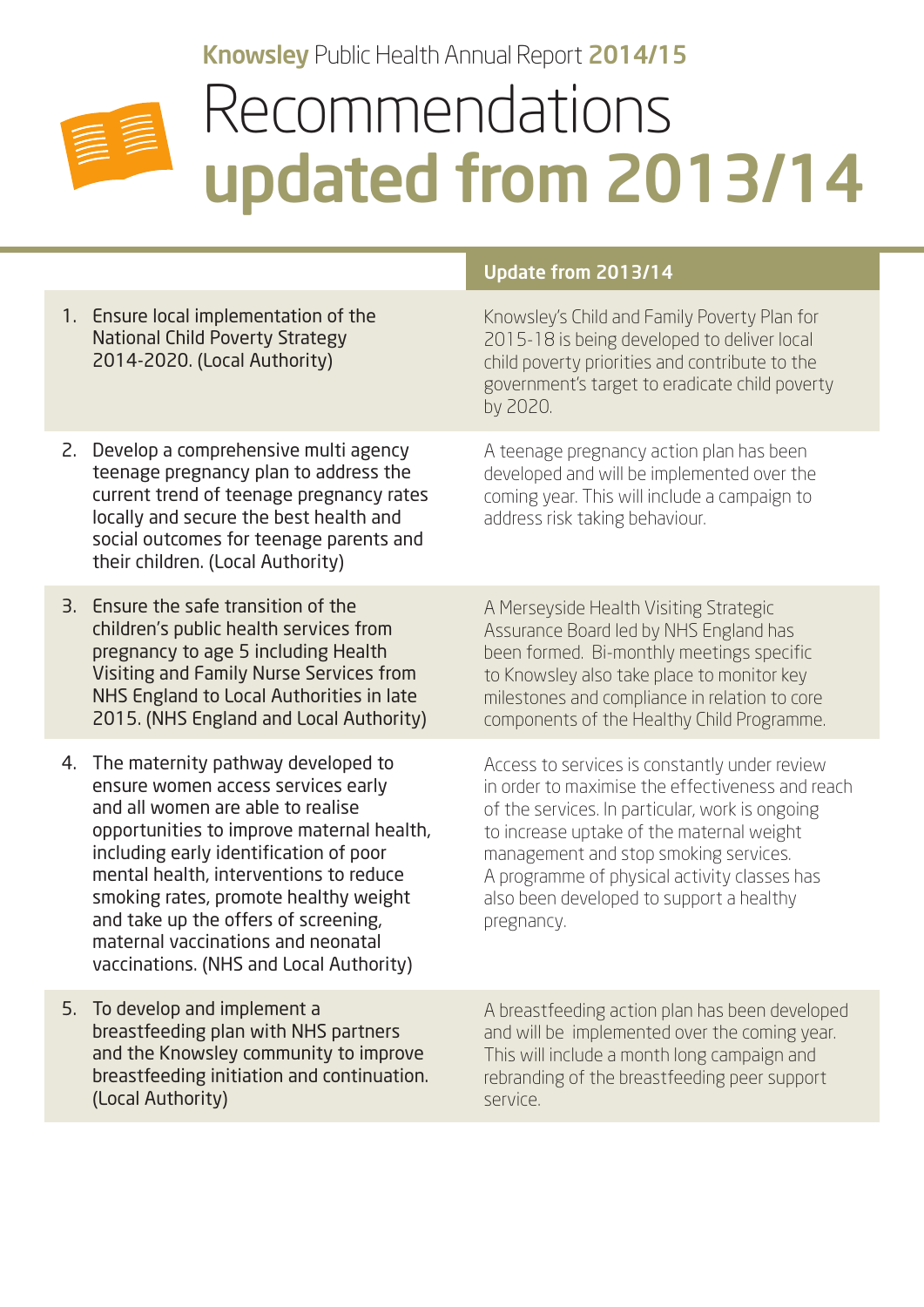## Knowsley Public Health Annual Report 2014/15



## Recommendations updated from 2013/14

|             |                                                                                                                                                                                                                                                                                                                                                                                                                  | Update from 2013/14                                                                                                                                                                                                                                                                                                                                  |
|-------------|------------------------------------------------------------------------------------------------------------------------------------------------------------------------------------------------------------------------------------------------------------------------------------------------------------------------------------------------------------------------------------------------------------------|------------------------------------------------------------------------------------------------------------------------------------------------------------------------------------------------------------------------------------------------------------------------------------------------------------------------------------------------------|
| $1_{\cdot}$ | Ensure local implementation of the<br><b>National Child Poverty Strategy</b><br>2014-2020. (Local Authority)                                                                                                                                                                                                                                                                                                     | Knowsley's Child and Family Poverty Plan for<br>2015-18 is being developed to deliver local<br>child poverty priorities and contribute to the<br>government's target to eradicate child poverty<br>by 2020.                                                                                                                                          |
| 2.          | Develop a comprehensive multi agency<br>teenage pregnancy plan to address the<br>current trend of teenage pregnancy rates<br>locally and secure the best health and<br>social outcomes for teenage parents and<br>their children. (Local Authority)                                                                                                                                                              | A teenage pregnancy action plan has been<br>developed and will be implemented over the<br>coming year. This will include a campaign to<br>address risk taking behaviour.                                                                                                                                                                             |
| 3.          | Ensure the safe transition of the<br>children's public health services from<br>pregnancy to age 5 including Health<br>Visiting and Family Nurse Services from<br>NHS England to Local Authorities in late<br>2015. (NHS England and Local Authority)                                                                                                                                                             | A Merseyside Health Visiting Strategic<br>Assurance Board led by NHS England has<br>been formed. Bi-monthly meetings specific<br>to Knowsley also take place to monitor key<br>milestones and compliance in relation to core<br>components of the Healthy Child Programme.                                                                           |
| 4.          | The maternity pathway developed to<br>ensure women access services early<br>and all women are able to realise<br>opportunities to improve maternal health,<br>including early identification of poor<br>mental health, interventions to reduce<br>smoking rates, promote healthy weight<br>and take up the offers of screening,<br>maternal vaccinations and neonatal<br>vaccinations. (NHS and Local Authority) | Access to services is constantly under review<br>in order to maximise the effectiveness and reach<br>of the services. In particular, work is ongoing<br>to increase uptake of the maternal weight<br>management and stop smoking services.<br>A programme of physical activity classes has<br>also been developed to support a healthy<br>pregnancy. |
| 5.          | To develop and implement a<br>breastfeeding plan with NHS partners<br>and the Knowsley community to improve<br>breastfeeding initiation and continuation.<br>(Local Authority)                                                                                                                                                                                                                                   | A breastfeeding action plan has been developed<br>and will be implemented over the coming year.<br>This will include a month long campaign and<br>rebranding of the breastfeeding peer support<br>service.                                                                                                                                           |